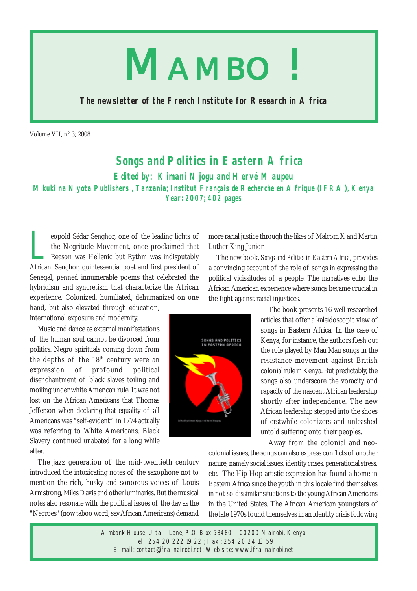

**The newsletter of the French Institute for Research in Africa**

Volume VII, n° 3; 2008

## **Songs and Politics in Eastern Africa**

**Edited by: Kimani Njogu and Hervé Maupeu**

**Mkuki na Nyota Publishers , Tanzania; Institut Français de Recherche en Afrique (IFRA), Kenya Year: 2007; 402 pages**

eopold Sédar Senghor, one of the leading lights of<br>the Negritude Movement, once proclaimed that<br>Reason was Hellenic but Rythm was indisputably<br>African Senghor quintessential poet and first president of the Negritude Movement, once proclaimed that Reason was Hellenic but Rythm was indisputably African. Senghor, quintessential poet and first president of Senegal, penned innumerable poems that celebrated the hybridism and syncretism that characterize the African experience. Colonized, humiliated, dehumanized on one hand, but also elevated through education,

international exposure and modernity.

Music and dance as external manifestations of the human soul cannot be divorced from politics. Negro spirituals coming down from the depths of the 18th century were an expression of profound political disenchantment of black slaves toiling and moiling under white American rule. It was not lost on the African Americans that Thomas Jefferson when declaring that equality of all Americans was "self-evident" in 1774 actually was referring to White Americans. Black Slavery continued unabated for a long while after.

The jazz generation of the mid-twentieth century introduced the intoxicating notes of the saxophone not to mention the rich, husky and sonorous voices of Louis Armstrong, Miles Davis and other luminaries. But the musical notes also resonate with the political issues of the day as the "Negroes" (now taboo word, say African Americans) demand

more racial justice through the likes of Malcom X and Martin Luther King Junior.

The new book, *Songs and Politics in Eastern Africa,* provides a convincing account of the role of songs in expressing the political vicissitudes of a people. The narratives echo the African American experience where songs became crucial in the fight against racial injustices.



The book presents 16 well-researched articles that offer a kaleidoscopic view of songs in Eastern Africa. In the case of Kenya, for instance, the authors flesh out the role played by Mau Mau songs in the resistance movement against British colonial rule in Kenya. But predictably, the songs also underscore the voracity and rapacity of the nascent African leadership shortly after independence. The new African leadership stepped into the shoes of erstwhile colonizers and unleashed untold suffering onto their peoples.

Away from the colonial and neo-

colonial issues, the songs can also express conflicts of another nature, namely social issues, identity crises, generational stress, etc. The Hip-Hop artistic expression has found a home in Eastern Africa since the youth in this locale find themselves in not-so-dissimilar situations to the young African Americans in the United States. The African American youngsters of the late 1970s found themselves in an identity crisis following

Ambank House, Utalii Lane; P.O. Box 58480 - 00200 Nairobi, Kenya Tel : 254 20 222 19 22 ; Fax : 254 20 24 13 59 E-mail: contact@ifra-nairobi.net; Web site: www.ifra-nairobi.net